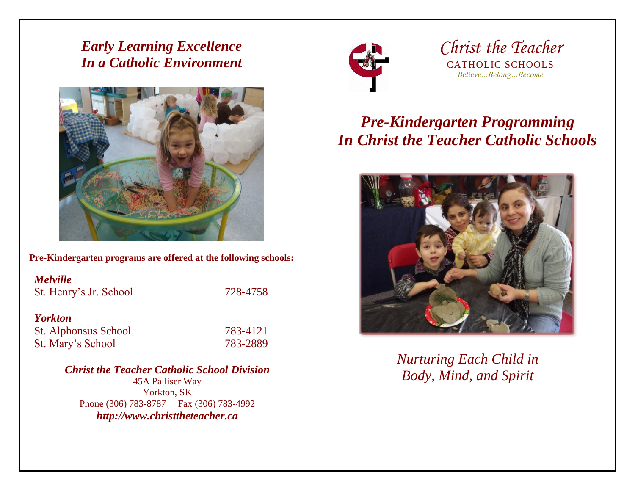*Early Learning Excellence In a Catholic Environment*



**Pre-Kindergarten programs are offered at the following schools:** 

| <b>Melville</b><br>St. Henry's Jr. School | 728-4758 |
|-------------------------------------------|----------|
| <b>Yorkton</b>                            |          |
| <b>St. Alphonsus School</b>               | 783-4121 |
| St. Mary's School                         | 783-2889 |

*Christ the Teacher Catholic School Division* 45A Palliser Way Yorkton, SK Phone (306) 783-8787 Fax (306) 783-4992 *http://www.christtheteacher.ca*



*Christ the Teacher* CATHOLIC SCHOOLS *Believe…Belong…Become*

# *Pre-Kindergarten Programming In Christ the Teacher Catholic Schools*



*Nurturing Each Child in Body, Mind, and Spirit*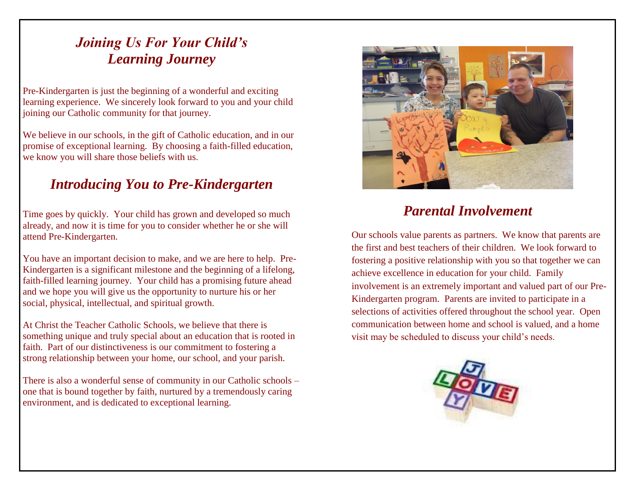## *Joining Us For Your Child's Learning Journey*

Pre-Kindergarten is just the beginning of a wonderful and exciting learning experience. We sincerely look forward to you and your child joining our Catholic community for that journey.

We believe in our schools, in the gift of Catholic education, and in our promise of exceptional learning. By choosing a faith-filled education, we know you will share those beliefs with us.

### *Introducing You to Pre-Kindergarten*

Time goes by quickly. Your child has grown and developed so much already, and now it is time for you to consider whether he or she will attend Pre-Kindergarten.

You have an important decision to make, and we are here to help. Pre-Kindergarten is a significant milestone and the beginning of a lifelong, faith-filled learning journey. Your child has a promising future ahead and we hope you will give us the opportunity to nurture his or her social, physical, intellectual, and spiritual growth.

At Christ the Teacher Catholic Schools, we believe that there is something unique and truly special about an education that is rooted in faith. Part of our distinctiveness is our commitment to fostering a strong relationship between your home, our school, and your parish.

There is also a wonderful sense of community in our Catholic schools – one that is bound together by faith, nurtured by a tremendously caring environment, and is dedicated to exceptional learning.



### *Parental Involvement*

Our schools value parents as partners. We know that parents are the first and best teachers of their children. We look forward to fostering a positive relationship with you so that together we can achieve excellence in education for your child. Family involvement is an extremely important and valued part of our Pre-Kindergarten program. Parents are invited to participate in a selections of activities offered throughout the school year. Open communication between home and school is valued, and a home visit may be scheduled to discuss your child's needs.

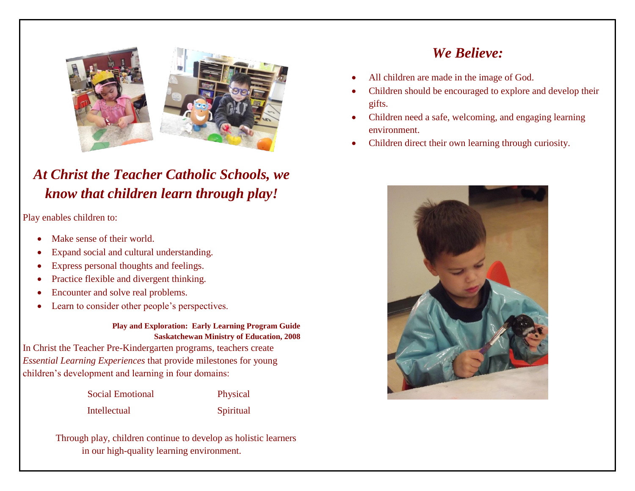

## *At Christ the Teacher Catholic Schools, we know that children learn through play!*

Play enables children to:

- Make sense of their world.
- Expand social and cultural understanding.
- Express personal thoughts and feelings.
- Practice flexible and divergent thinking.
- Encounter and solve real problems.
- Learn to consider other people's perspectives.

#### **Play and Exploration: Early Learning Program Guide Saskatchewan Ministry of Education, 2008**

In Christ the Teacher Pre-Kindergarten programs, teachers create *Essential Learning Experiences* that provide milestones for young children's development and learning in four domains:

Social Emotional Physical

Intellectual Spiritual

Through play, children continue to develop as holistic learners in our high-quality learning environment.

## *We Believe:*

- All children are made in the image of God.
- Children should be encouraged to explore and develop their gifts.
- Children need a safe, welcoming, and engaging learning environment.
- Children direct their own learning through curiosity.